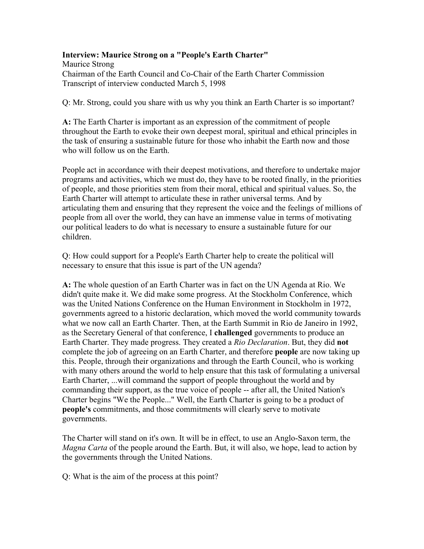## Interview: Maurice Strong on a "People's Earth Charter"

Maurice Strong Chairman of the Earth Council and Co-Chair of the Earth Charter Commission Transcript of interview conducted March 5, 1998

Q: Mr. Strong, could you share with us why you think an Earth Charter is so important?

A: The Earth Charter is important as an expression of the commitment of people throughout the Earth to evoke their own deepest moral, spiritual and ethical principles in the task of ensuring a sustainable future for those who inhabit the Earth now and those who will follow us on the Earth.

People act in accordance with their deepest motivations, and therefore to undertake major programs and activities, which we must do, they have to be rooted finally, in the priorities of people, and those priorities stem from their moral, ethical and spiritual values. So, the Earth Charter will attempt to articulate these in rather universal terms. And by articulating them and ensuring that they represent the voice and the feelings of millions of people from all over the world, they can have an immense value in terms of motivating our political leaders to do what is necessary to ensure a sustainable future for our children.

Q: How could support for a People's Earth Charter help to create the political will necessary to ensure that this issue is part of the UN agenda?

A: The whole question of an Earth Charter was in fact on the UN Agenda at Rio. We didn't quite make it. We did make some progress. At the Stockholm Conference, which was the United Nations Conference on the Human Environment in Stockholm in 1972, governments agreed to a historic declaration, which moved the world community towards what we now call an Earth Charter. Then, at the Earth Summit in Rio de Janeiro in 1992, as the Secretary General of that conference, I challenged governments to produce an Earth Charter. They made progress. They created a Rio Declaration. But, they did not complete the job of agreeing on an Earth Charter, and therefore people are now taking up this. People, through their organizations and through the Earth Council, who is working with many others around the world to help ensure that this task of formulating a universal Earth Charter, ...will command the support of people throughout the world and by commanding their support, as the true voice of people -- after all, the United Nation's Charter begins "We the People..." Well, the Earth Charter is going to be a product of people's commitments, and those commitments will clearly serve to motivate governments.

The Charter will stand on it's own. It will be in effect, to use an Anglo-Saxon term, the Magna Carta of the people around the Earth. But, it will also, we hope, lead to action by the governments through the United Nations.

Q: What is the aim of the process at this point?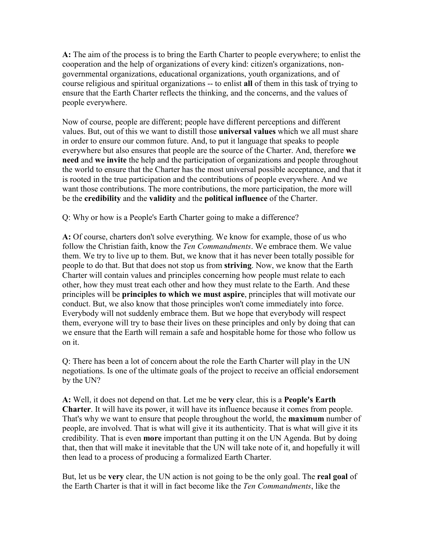A: The aim of the process is to bring the Earth Charter to people everywhere; to enlist the cooperation and the help of organizations of every kind: citizen's organizations, nongovernmental organizations, educational organizations, youth organizations, and of course religious and spiritual organizations -- to enlist all of them in this task of trying to ensure that the Earth Charter reflects the thinking, and the concerns, and the values of people everywhere.

Now of course, people are different; people have different perceptions and different values. But, out of this we want to distill those **universal values** which we all must share in order to ensure our common future. And, to put it language that speaks to people everywhere but also ensures that people are the source of the Charter. And, therefore we need and we invite the help and the participation of organizations and people throughout the world to ensure that the Charter has the most universal possible acceptance, and that it is rooted in the true participation and the contributions of people everywhere. And we want those contributions. The more contributions, the more participation, the more will be the credibility and the validity and the political influence of the Charter.

Q: Why or how is a People's Earth Charter going to make a difference?

A: Of course, charters don't solve everything. We know for example, those of us who follow the Christian faith, know the Ten Commandments. We embrace them. We value them. We try to live up to them. But, we know that it has never been totally possible for people to do that. But that does not stop us from striving. Now, we know that the Earth Charter will contain values and principles concerning how people must relate to each other, how they must treat each other and how they must relate to the Earth. And these principles will be principles to which we must aspire, principles that will motivate our conduct. But, we also know that those principles won't come immediately into force. Everybody will not suddenly embrace them. But we hope that everybody will respect them, everyone will try to base their lives on these principles and only by doing that can we ensure that the Earth will remain a safe and hospitable home for those who follow us on it.

Q: There has been a lot of concern about the role the Earth Charter will play in the UN negotiations. Is one of the ultimate goals of the project to receive an official endorsement by the UN?

A: Well, it does not depend on that. Let me be very clear, this is a People's Earth Charter. It will have its power, it will have its influence because it comes from people. That's why we want to ensure that people throughout the world, the **maximum** number of people, are involved. That is what will give it its authenticity. That is what will give it its credibility. That is even more important than putting it on the UN Agenda. But by doing that, then that will make it inevitable that the UN will take note of it, and hopefully it will then lead to a process of producing a formalized Earth Charter.

But, let us be very clear, the UN action is not going to be the only goal. The real goal of the Earth Charter is that it will in fact become like the Ten Commandments, like the